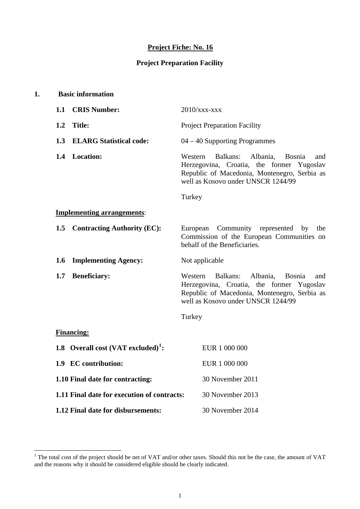# **Project Fiche: No. 16**

## **Project Preparation Facility**

| 1. |     | <b>Basic information</b>                       |                 |                                                                                                                                                                                 |
|----|-----|------------------------------------------------|-----------------|---------------------------------------------------------------------------------------------------------------------------------------------------------------------------------|
|    | 1.1 | <b>CRIS Number:</b>                            | $2010$ /xxx-xxx |                                                                                                                                                                                 |
|    | 1.2 | Title:                                         |                 | <b>Project Preparation Facility</b>                                                                                                                                             |
|    | 1.3 | <b>ELARG Statistical code:</b>                 |                 | $04 - 40$ Supporting Programmes                                                                                                                                                 |
|    |     | 1.4 Location:                                  | Western         | Albania,<br>Balkans:<br><b>Bosnia</b><br>and<br>Herzegovina, Croatia, the former Yugoslav<br>Republic of Macedonia, Montenegro, Serbia as<br>well as Kosovo under UNSCR 1244/99 |
|    |     |                                                | Turkey          |                                                                                                                                                                                 |
|    |     | <b>Implementing arrangements:</b>              |                 |                                                                                                                                                                                 |
|    | 1.5 | <b>Contracting Authority (EC):</b>             |                 | European Community represented<br>by<br>the<br>Commission of the European Communities on<br>behalf of the Beneficiaries.                                                        |
|    | 1.6 | <b>Implementing Agency:</b>                    | Not applicable  |                                                                                                                                                                                 |
|    | 1.7 | <b>Beneficiary:</b>                            | Western         | Balkans:<br>Albania,<br><b>Bosnia</b><br>and<br>Herzegovina, Croatia, the former Yugoslav<br>Republic of Macedonia, Montenegro, Serbia as<br>well as Kosovo under UNSCR 1244/99 |
|    |     |                                                | Turkey          |                                                                                                                                                                                 |
|    |     | <b>Financing:</b>                              |                 |                                                                                                                                                                                 |
|    |     | 1.8 Overall cost (VAT excluded) <sup>1</sup> : |                 | EUR 1 000 000                                                                                                                                                                   |
|    |     | 1.9 EC contribution:                           |                 | EUR 1 000 000                                                                                                                                                                   |
|    |     | 1.10 Final date for contracting:               |                 | 30 November 2011                                                                                                                                                                |
|    |     | 1.11 Final date for execution of contracts:    |                 | 30 November 2013                                                                                                                                                                |
|    |     | 1.12 Final date for disbursements:             |                 | 30 November 2014                                                                                                                                                                |

<span id="page-0-0"></span><sup>&</sup>lt;sup>1</sup> The total cost of the project should be net of VAT and/or other taxes. Should this not be the case, the amount of VAT and the reasons why it should be considered eligible should be clearly indicated.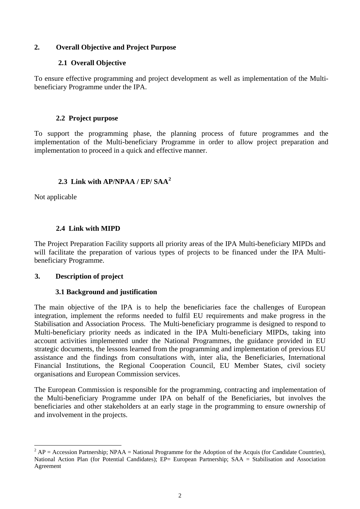#### **2. Overall Objective and Project Purpose**

#### **2.1 Overall Objective**

To ensure effective programming and project development as well as implementation of the Multibeneficiary Programme under the IPA.

## **2.2 Project purpose**

To support the programming phase, the planning process of future programmes and the implementation of the Multi-beneficiary Programme in order to allow project preparation and implementation to proceed in a quick and effective manner.

## **2.3 Link with AP/NPAA / EP/ SAA[2](#page-1-0)**

Not applicable

## **2.4 Link with MIPD**

The Project Preparation Facility supports all priority areas of the IPA Multi-beneficiary MIPDs and will facilitate the preparation of various types of projects to be financed under the IPA Multibeneficiary Programme.

## **3. Description of project**

## **3.1 Background and justification**

The main objective of the IPA is to help the beneficiaries face the challenges of European integration, implement the reforms needed to fulfil EU requirements and make progress in the Stabilisation and Association Process. The Multi-beneficiary programme is designed to respond to Multi-beneficiary priority needs as indicated in the IPA Multi-beneficiary MIPDs, taking into account activities implemented under the National Programmes, the guidance provided in EU strategic documents, the lessons learned from the programming and implementation of previous EU assistance and the findings from consultations with, inter alia, the Beneficiaries, International Financial Institutions, the Regional Cooperation Council, EU Member States, civil society organisations and European Commission services.

The European Commission is responsible for the programming, contracting and implementation of the Multi-beneficiary Programme under IPA on behalf of the Beneficiaries, but involves the beneficiaries and other stakeholders at an early stage in the programming to ensure ownership of and involvement in the projects.

<span id="page-1-0"></span> $\overline{a}$  $^2$  AP = Accession Partnership; NPAA = National Programme for the Adoption of the Acquis (for Candidate Countries), National Action Plan (for Potential Candidates); EP= European Partnership; SAA = Stabilisation and Association Agreement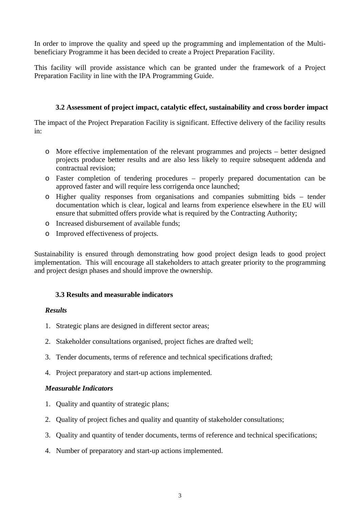In order to improve the quality and speed up the programming and implementation of the Multibeneficiary Programme it has been decided to create a Project Preparation Facility.

This facility will provide assistance which can be granted under the framework of a Project Preparation Facility in line with the IPA Programming Guide.

#### **3.2 Assessment of project impact, catalytic effect, sustainability and cross border impact**

The impact of the Project Preparation Facility is significant. Effective delivery of the facility results in:

- o More effective implementation of the relevant programmes and projects better designed projects produce better results and are also less likely to require subsequent addenda and contractual revision;
- o Faster completion of tendering procedures properly prepared documentation can be approved faster and will require less corrigenda once launched;
- o Higher quality responses from organisations and companies submitting bids tender documentation which is clear, logical and learns from experience elsewhere in the EU will ensure that submitted offers provide what is required by the Contracting Authority;
- o Increased disbursement of available funds;
- o Improved effectiveness of projects.

Sustainability is ensured through demonstrating how good project design leads to good project implementation. This will encourage all stakeholders to attach greater priority to the programming and project design phases and should improve the ownership.

## **3.3 Results and measurable indicators**

#### *Results*

- 1. Strategic plans are designed in different sector areas;
- 2. Stakeholder consultations organised, project fiches are drafted well;
- 3. Tender documents, terms of reference and technical specifications drafted;
- 4. Project preparatory and start-up actions implemented.

#### *Measurable Indicators*

- 1. Quality and quantity of strategic plans;
- 2. Quality of project fiches and quality and quantity of stakeholder consultations;
- 3. Quality and quantity of tender documents, terms of reference and technical specifications;
- 4. Number of preparatory and start-up actions implemented.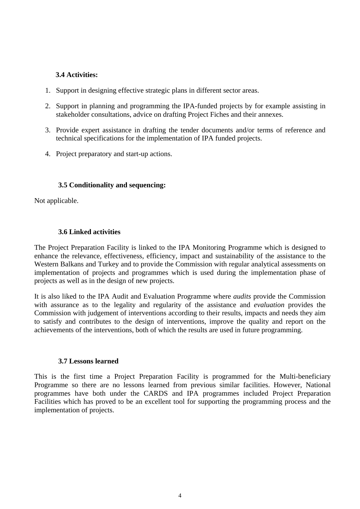#### **3.4 Activities:**

- 1. Support in designing effective strategic plans in different sector areas.
- 2. Support in planning and programming the IPA-funded projects by for example assisting in stakeholder consultations, advice on drafting Project Fiches and their annexes.
- 3. Provide expert assistance in drafting the tender documents and/or terms of reference and technical specifications for the implementation of IPA funded projects.
- 4. Project preparatory and start-up actions.

#### **3.5 Conditionality and sequencing:**

Not applicable.

#### **3.6 Linked activities**

The Project Preparation Facility is linked to the IPA Monitoring Programme which is designed to enhance the relevance, effectiveness, efficiency, impact and sustainability of the assistance to the Western Balkans and Turkey and to provide the Commission with regular analytical assessments on implementation of projects and programmes which is used during the implementation phase of projects as well as in the design of new projects.

It is also liked to the IPA Audit and Evaluation Programme where *audits* provide the Commission with assurance as to the legality and regularity of the assistance and *evaluation* provides the Commission with judgement of interventions according to their results, impacts and needs they aim to satisfy and contributes to the design of interventions, improve the quality and report on the achievements of the interventions, both of which the results are used in future programming.

#### **3.7 Lessons learned**

This is the first time a Project Preparation Facility is programmed for the Multi-beneficiary Programme so there are no lessons learned from previous similar facilities. However, National programmes have both under the CARDS and IPA programmes included Project Preparation Facilities which has proved to be an excellent tool for supporting the programming process and the implementation of projects.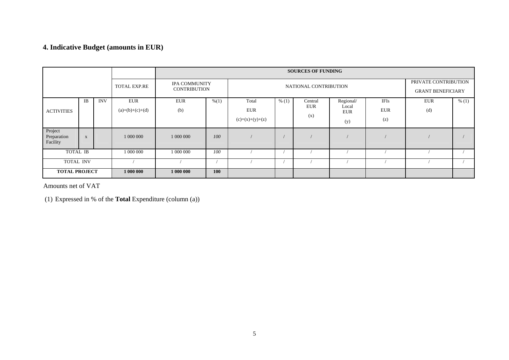# **4. Indicative Budget (amounts in EUR)**

|                                    |              |            |                                 |                                             |            |                                          |       | <b>SOURCES OF FUNDING</b>    |                                         |                           |                                                  |       |
|------------------------------------|--------------|------------|---------------------------------|---------------------------------------------|------------|------------------------------------------|-------|------------------------------|-----------------------------------------|---------------------------|--------------------------------------------------|-------|
|                                    |              |            | TOTAL EXP.RE                    | <b>IPA COMMUNITY</b><br><b>CONTRIBUTION</b> |            | NATIONAL CONTRIBUTION                    |       |                              |                                         |                           | PRIVATE CONTRIBUTION<br><b>GRANT BENEFICIARY</b> |       |
| <b>ACTIVITIES</b>                  | <b>IB</b>    | <b>INV</b> | <b>EUR</b><br>$(a)=(b)+(c)+(d)$ | <b>EUR</b><br>(b)                           | % (1)      | Total<br><b>EUR</b><br>$(c)=(x)+(y)+(z)$ | % (1) | Central<br><b>EUR</b><br>(x) | Regional/<br>Local<br><b>EUR</b><br>(y) | IFIs<br><b>EUR</b><br>(z) | <b>EUR</b><br>(d)                                | % (1) |
| Project<br>Preparation<br>Facility | $\mathbf{X}$ |            | 1 000 000                       | 1 000 000                                   | 100        |                                          |       |                              |                                         |                           |                                                  |       |
| TOTAL IB                           |              |            | 1 000 000                       | 1 000 000                                   | 100        |                                          |       |                              |                                         |                           |                                                  |       |
| <b>TOTAL INV</b>                   |              |            |                                 |                                             |            |                                          |       |                              |                                         |                           |                                                  |       |
| <b>TOTAL PROJECT</b>               |              |            | 1 000 000                       | 1 000 000                                   | <b>100</b> |                                          |       |                              |                                         |                           |                                                  |       |

Amounts net of VAT

(1) Expressed in % of the **Total** Expenditure (column (a))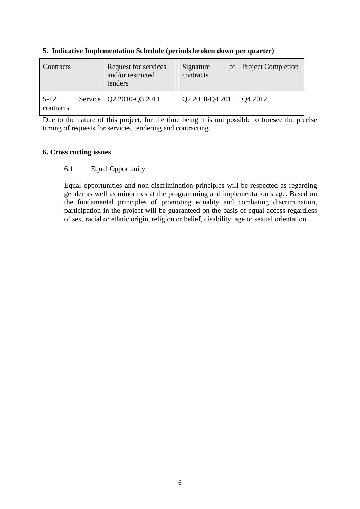| Contracts             | Request for services<br>and/or restricted<br>tenders | Signature<br>contracts    | of   Project Completion |
|-----------------------|------------------------------------------------------|---------------------------|-------------------------|
| $5 - 12$<br>contracts | Service   Q2 2010-Q3 2011                            | Q2 2010-Q4 2011   Q4 2012 |                         |

#### **5. Indicative Implementation Schedule (periods broken down per quarter)**

Due to the nature of this project, for the time being it is not possible to foresee the precise timing of requests for services, tendering and contracting.

#### **6. Cross cutting issues**

## 6.1 Equal Opportunity

Equal opportunities and non-discrimination principles will be respected as regarding gender as well as minorities at the programming and implementation stage. Based on the fundamental principles of promoting equality and combating discrimination, participation in the project will be guaranteed on the basis of equal access regardless of sex, racial or ethnic origin, religion or belief, disability, age or sexual orientation.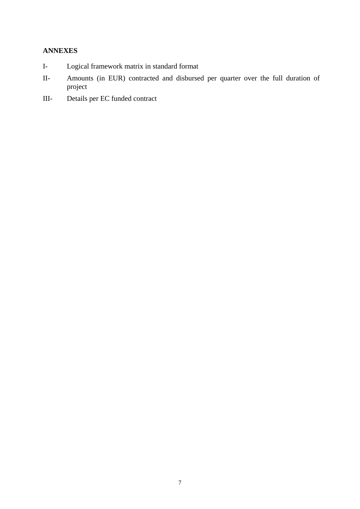## **ANNEXES**

- I- Logical framework matrix in standard format
- II- Amounts (in EUR) contracted and disbursed per quarter over the full duration of project
- III- Details per EC funded contract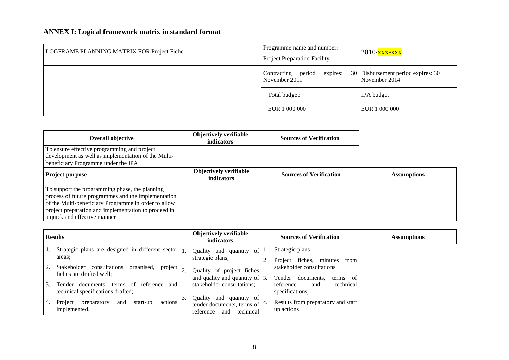# **ANNEX I: Logical framework matrix in standard format**

| LOGFRAME PLANNING MATRIX FOR Project Fiche | Programme name and number:<br><b>Project Preparation Facility</b> | $2010/\frac{\text{xx} - \text{xx}}{\text{xx}}$      |
|--------------------------------------------|-------------------------------------------------------------------|-----------------------------------------------------|
|                                            | Contracting period<br>expires:<br>November 2011                   | 30 Disbursement period expires: 30<br>November 2014 |
|                                            | Total budget:                                                     | IPA budget                                          |
|                                            | EUR 1 000 000                                                     | EUR 1 000 000                                       |

| <b>Overall objective</b>                                                                                                                                                                                                                              | Objectively verifiable<br>indicators               | <b>Sources of Verification</b> |                    |
|-------------------------------------------------------------------------------------------------------------------------------------------------------------------------------------------------------------------------------------------------------|----------------------------------------------------|--------------------------------|--------------------|
| To ensure effective programming and project<br>development as well as implementation of the Multi-<br>beneficiary Programme under the IPA                                                                                                             |                                                    |                                |                    |
| Project purpose                                                                                                                                                                                                                                       | <b>Objectively verifiable</b><br><b>indicators</b> | <b>Sources of Verification</b> | <b>Assumptions</b> |
| To support the programming phase, the planning<br>process of future programmes and the implementation<br>of the Multi-beneficiary Programme in order to allow<br>project preparation and implementation to proceed in<br>a quick and effective manner |                                                    |                                |                    |

|    | <b>Results</b>                                                                               |    | <b>Objectively verifiable</b><br>indicators                                               |    | <b>Sources of Verification</b>                                     | <b>Assumptions</b> |
|----|----------------------------------------------------------------------------------------------|----|-------------------------------------------------------------------------------------------|----|--------------------------------------------------------------------|--------------------|
|    | Strategic plans are designed in different sector $ _1$ .<br>areas:                           |    | Quality and quantity of<br>strategic plans;                                               |    | Strategic plans<br>fiches.<br>Project<br>minutes<br>from           |                    |
|    | consultations<br>Stakeholder<br>organised,<br>project<br>fiches are drafted well;            |    | Quality of project fiches<br>and quality and quantity of $\vert$ 3.                       |    | stakeholder consultations<br>Tender<br>documents.<br>- of<br>terms |                    |
| 3. | documents.<br>terms<br>of<br>reference<br>Tender<br>and<br>technical specifications drafted; |    | stakeholder consultations;                                                                |    | technical<br>reference<br>and<br>specifications;                   |                    |
| 4. | Project<br>preparatory<br>and<br>start-up<br>actions<br>implemented.                         | 3. | Quality and<br>quantity of<br>tender documents, terms of<br>technical<br>reference<br>and | 4. | Results from preparatory and start<br>up actions                   |                    |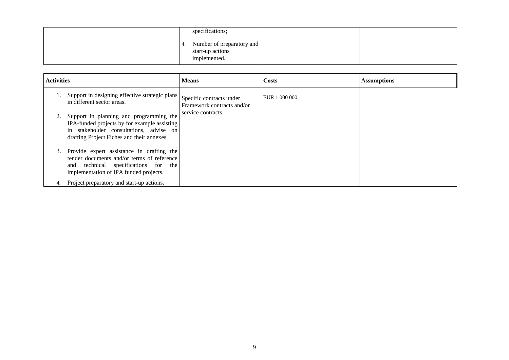| specifications;                                               |  |
|---------------------------------------------------------------|--|
| Number of preparatory and<br>start-up actions<br>implemented. |  |

| <b>Activities</b> |                                                                                                                                                                                  | <b>Means</b>                                           | Costs         | <b>Assumptions</b> |
|-------------------|----------------------------------------------------------------------------------------------------------------------------------------------------------------------------------|--------------------------------------------------------|---------------|--------------------|
|                   | Support in designing effective strategic plans<br>in different sector areas.                                                                                                     | Specific contracts under<br>Framework contracts and/or | EUR 1 000 000 |                    |
| 2.                | Support in planning and programming the<br>IPA-funded projects by for example assisting<br>in stakeholder consultations, advise on<br>drafting Project Fiches and their annexes. | service contracts                                      |               |                    |
| 3.                | Provide expert assistance in drafting the<br>tender documents and/or terms of reference<br>and technical specifications for the<br>implementation of IPA funded projects.        |                                                        |               |                    |
| 4.                | Project preparatory and start-up actions.                                                                                                                                        |                                                        |               |                    |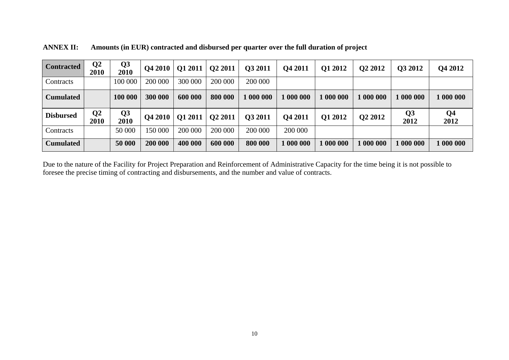| <b>Contracted</b> | $\bf Q2$<br>2010 | Q <sub>3</sub><br>2010 | <b>O4 2010</b> | <b>Q1 2011</b> | Q2 2011 | Q3 2011 | Q4 2011   | Q1 2012 | Q <sub>2</sub> 2012 | Q3 2012                | <b>Q4 2012</b>         |
|-------------------|------------------|------------------------|----------------|----------------|---------|---------|-----------|---------|---------------------|------------------------|------------------------|
| Contracts         |                  | 100 000                | 200 000        | 300 000        | 200 000 | 200 000 |           |         |                     |                        |                        |
| <b>Cumulated</b>  |                  | 100 000                | 300 000        | 600 000        | 800 000 | 1000000 | 1 000 000 | .000000 | 1000000             | 1 000 000              | 000000                 |
| <b>Disbursed</b>  | Q <sub>2</sub>   | Q <sub>3</sub>         |                |                |         |         |           |         |                     |                        |                        |
|                   | 2010             | 2010                   | <b>O4 2010</b> | Q1 2011        | Q2 2011 | Q3 2011 | Q4 2011   | O1 2012 | Q2 2012             | Q <sub>3</sub><br>2012 | Q <sub>4</sub><br>2012 |
| Contracts         |                  | 50 000                 | 150 000        | 200 000        | 200 000 | 200 000 | 200 000   |         |                     |                        |                        |

**ANNEX II: Amounts (in EUR) contracted and disbursed per quarter over the full duration of project** 

Due to the nature of the Facility for Project Preparation and Reinforcement of Administrative Capacity for the time being it is not possible to foresee the precise timing of contracting and disbursements, and the number and value of contracts.